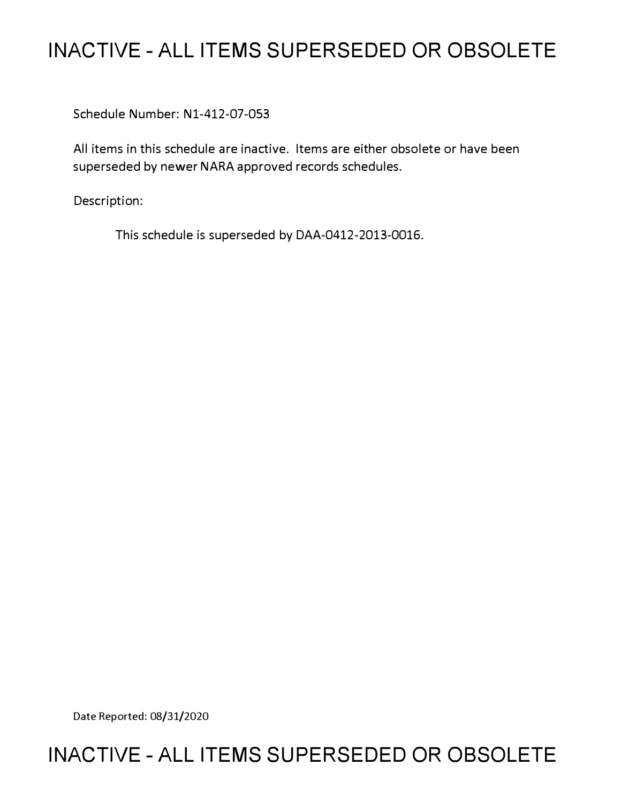## **INACTIVE - ALL ITEMS SUPERSEDED OR OBSOLETE**

Schedule Number: Nl-412-07-053

All items in this schedule are inactive. Items are either obsolete or have been superseded by newer NARA approved records schedules.

Description:

This schedule is superseded by DAA-0412-2013-0016.

Date Reported: 08/31/2020

## **INACTIVE - ALL ITEMS SUPERSEDED OR OBSOLETE**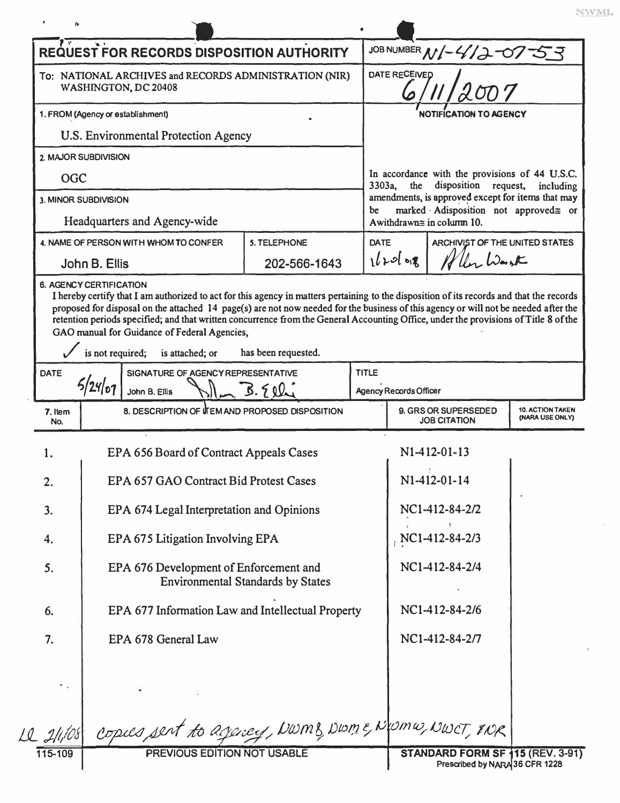| $\mathbf{v}$                                                                                                    | <b>REQUEST FOR RECORDS DISPOSITION AUTHORITY</b>   |                                          |              |                                                                                                                                                                                                                                |                                             |                                            |
|-----------------------------------------------------------------------------------------------------------------|----------------------------------------------------|------------------------------------------|--------------|--------------------------------------------------------------------------------------------------------------------------------------------------------------------------------------------------------------------------------|---------------------------------------------|--------------------------------------------|
| To: NATIONAL ARCHIVES and RECORDS ADMINISTRATION (NIR)<br>WASHINGTON, DC 20408                                  |                                                    |                                          |              | JOB NUMBER N/-4/2-07-53<br>DATE RECEIVED                                                                                                                                                                                       |                                             |                                            |
| 1. FROM (Agency or establishment)                                                                               |                                                    |                                          |              | <b>NOTIFICATION TO AGENCY</b>                                                                                                                                                                                                  |                                             |                                            |
|                                                                                                                 | U.S. Environmental Protection Agency               |                                          |              |                                                                                                                                                                                                                                |                                             |                                            |
|                                                                                                                 | 2. MAJOR SUBDIVISION                               |                                          |              |                                                                                                                                                                                                                                |                                             |                                            |
| <b>OGC</b>                                                                                                      |                                                    |                                          |              | In accordance with the provisions of 44 U.S.C.<br>3303a, the disposition request,<br>including<br>amendments, is approved except for items that may<br>marked Adisposition not approved≅ or<br>be<br>Awithdrawn≅ in column 10. |                                             |                                            |
| 3. MINOR SUBDIVISION<br>Headquarters and Agency-wide                                                            |                                                    |                                          |              |                                                                                                                                                                                                                                |                                             |                                            |
| 4. NAME OF PERSON WITH WHOM TO CONFER                                                                           |                                                    | <b>5. TELEPHONE</b>                      | <b>DATE</b>  |                                                                                                                                                                                                                                | ARCHIVIST OF THE UNITED STATES              |                                            |
|                                                                                                                 | John B. Ellis                                      | 202-566-1643                             |              | Wiley Wash<br>$1620$ of                                                                                                                                                                                                        |                                             |                                            |
| is not required;<br>is attached; or<br>has been requested.<br>SIGNATURE OF AGENCY REPRESENTATIVE<br><b>DATE</b> |                                                    |                                          |              |                                                                                                                                                                                                                                |                                             |                                            |
|                                                                                                                 |                                                    |                                          |              |                                                                                                                                                                                                                                |                                             |                                            |
|                                                                                                                 | John B. Ellis                                      | 3.50                                     | <b>TITLE</b> | <b>Agency Records Officer</b>                                                                                                                                                                                                  |                                             |                                            |
| 7. Item<br>No.                                                                                                  | 8. DESCRIPTION OF ITEM AND PROPOSED DISPOSITION    |                                          |              |                                                                                                                                                                                                                                | 9. GRS OR SUPERSEDED<br><b>JOB CITATION</b> |                                            |
| 1.                                                                                                              | EPA 656 Board of Contract Appeals Cases            |                                          |              |                                                                                                                                                                                                                                | $N1-412-01-13$                              |                                            |
| 2.                                                                                                              | EPA 657 GAO Contract Bid Protest Cases             |                                          |              |                                                                                                                                                                                                                                | N1-412-01-14                                |                                            |
| 3.                                                                                                              | EPA 674 Legal Interpretation and Opinions          |                                          |              |                                                                                                                                                                                                                                | NC1-412-84-2/2                              |                                            |
| 4.                                                                                                              | EPA 675 Litigation Involving EPA                   |                                          |              |                                                                                                                                                                                                                                | NC1-412-84-2/3                              |                                            |
| 5.                                                                                                              | EPA 676 Development of Enforcement and             | <b>Environmental Standards by States</b> |              |                                                                                                                                                                                                                                | NC1-412-84-2/4                              |                                            |
| 6.                                                                                                              | EPA 677 Information Law and Intellectual Property  |                                          |              |                                                                                                                                                                                                                                | NC1-412-84-2/6                              |                                            |
| 7.                                                                                                              | EPA 678 General Law                                |                                          |              |                                                                                                                                                                                                                                | NC1-412-84-2/7                              |                                            |
|                                                                                                                 |                                                    |                                          |              |                                                                                                                                                                                                                                |                                             | <b>10. ACTION TAKEN</b><br>(NARA USE ONLY) |
| 12 2/1/08                                                                                                       | copies sent to agency, DWMB, DWME, NOMW, NWCT, INR |                                          |              |                                                                                                                                                                                                                                |                                             |                                            |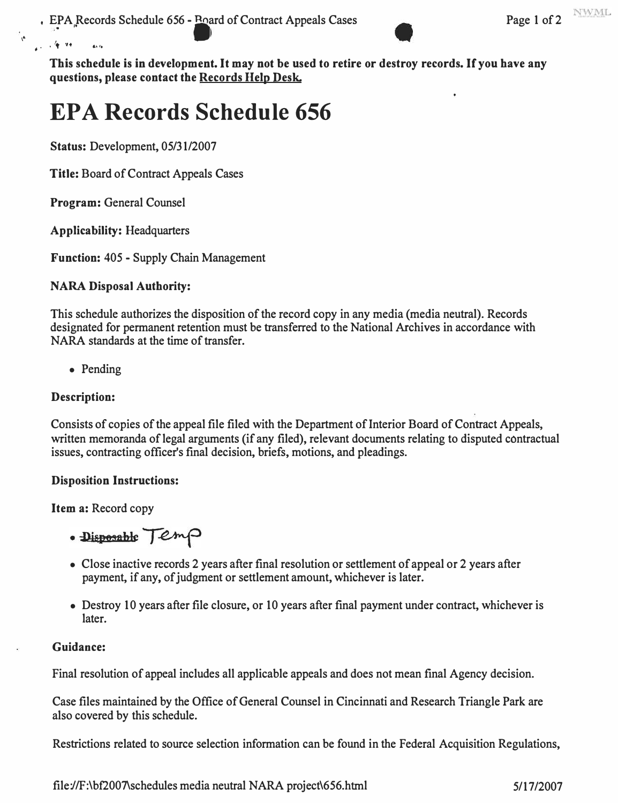

**This schedule is in development. It may not be used to retire or destroy records. If you have any questions, please contact the Records Help Desk.** 

# **EPA Records Schedule 656**

**Status: Development, 05/31/2007** 

**Title: Board of Contract Appeals Cases** 

**Program: General Counsel** 

• . . 't .,.. "''•

 $\mathbf{A}_I$ 

**Applicability: Headquarters** 

**Function: 405 - Supply Chain Management** 

## **NARA Disposal Authority:**

**This schedule authorizes the disposition of the record copy in any media (media neutral). Records designated for permanent retention must be transferred to the National Archives in accordance with NARA standards at the time of transfer.** 

**• Pending**

### **Description:**

**Consists of copies of the appeal file filed with the Department of Interior Board of Contract Appeals, written memoranda of legal arguments (if any filed), relevant documents relating to disputed contractual issues, contracting officer's final decision, briefs, motions, and pleadings.** 

#### **Disposition Instructions:**

**Item a: Record copy** 

· Disposable Temp

- **Close inactive records 2 years after final resolution or settlement of appeal or 2 years after payment, if any, of judgment or settlement amount, whichever is later.**
- **Destroy 10 years after file closure, or 10 years after final payment under contract, whichever is later.**

## **Guidance:**

**Final resolution of appeal includes all applicable appeals and does not mean final Agency decision.** 

**Case files maintained by the Office of General Counsel in Cincinnati and Research Triangle Park are also covered by this schedule.** 

**Restrictions related to source selection information can be found in the Federal Acquisition Regulations,** 

**<file://F:\bf2007\schedules> media neutral NARA project\656.html 5/17/2007**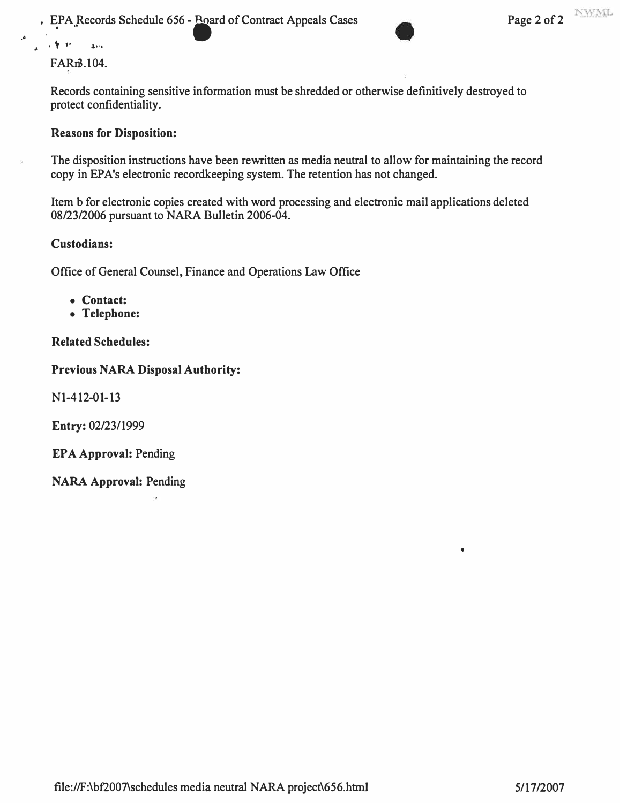**. EPA**<sub>*R*</sub> Records Schedule 656 - Roard of Contract Appeals Cases Page 2 of 2

### **FARn3.104.**

**Records containing sensitive information must be shredded or otherwise definitively destroyed to protect confidentiality.** 

#### **Reasons for Disposition:**

**The disposition instructions have been rewritten as media neutral to allow for maintaining the record copy in EPA's electronic recordkeeping system. The retention has not changed.** 

**Item b for electronic copies created with word processing and electronic mail applications deleted 08/23/2006 pursuant to NARA Bulletin 2006-04.** 

#### **Custodians:**

**Office of General Counsel, Finance and Operations Law Office** 

- **Contact:**
- **Telephone:**

#### **Related Schedules:**

#### **Previous NARA Disposal Authority:**

**Nl-412-01-13** 

**Entry: 02/23/1999** 

**EPA Approval: Pending** 

**NARA Approval: Pending** 

 $\bullet$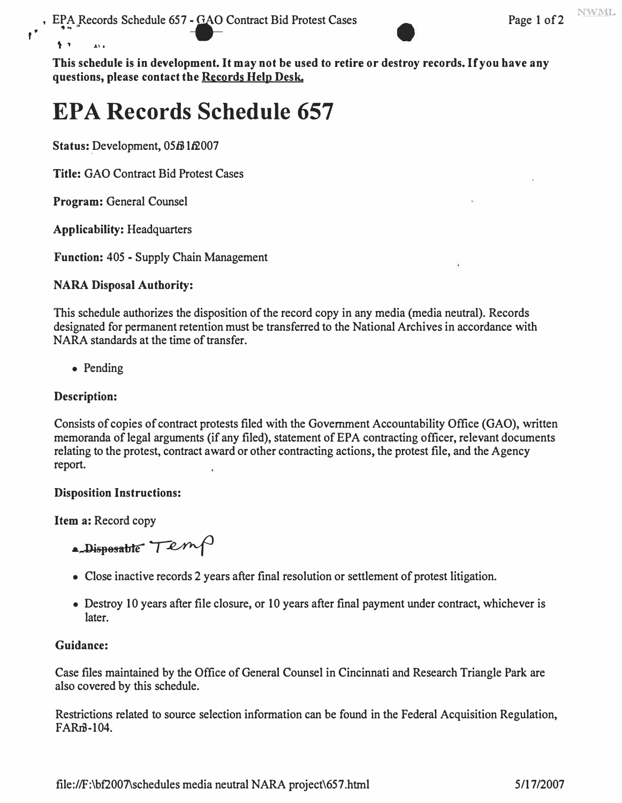PA Records Schedule 657 **- GAO** Contract Bid Protest Cases Page 1 of 2



**This schedule is in development. It may not be used to retire or destroy records. If you have any questions, please contact the Records Help Desk.** 

# **EPA Records Schedule 657**

**Status: Development, 05/31/2007** 

**Title:** GAO Contract Bid Protest Cases

**Program:** General Counsel

 $\uparrow$   $\uparrow$   $\qquad$   $\downarrow$   $\uparrow$ 

**Applicability:** Headquarters

**Function:** 405 - Supply Chain Management

## **NARA Disposal Authority:**

This schedule authorizes the disposition of the record copy in any media (media neutral). Records designated for permanent retention must be transferred to the National Archives in accordance with NARA standards at the time of transfer.

• Pending

## **Description:**

Consists of copies of contract protests filed with the Government Accountability Office (GAO), written memoranda of legal arguments (if any filed), statement of EPA contracting officer, relevant documents relating to the protest, contract award or other contracting actions, the protest file, and the Agency report.

#### **Disposition Instructions:**

**Item a:** Record copy

**• Disposable Temp** 

- Close inactive records 2 years after final resolution or settlement of protest litigation.
- Destroy 10 years after file closure, or 10 years after final payment under contract, whichever is later.

#### **Guidance:**

Case files maintained by the Office of General Counsel in Cincinnati and Research Triangle Park are also covered by this schedule.

Restrictions related to source selection information can be found in the Federal Acquisition Regulation, FAR<sub>m</sub>3-104.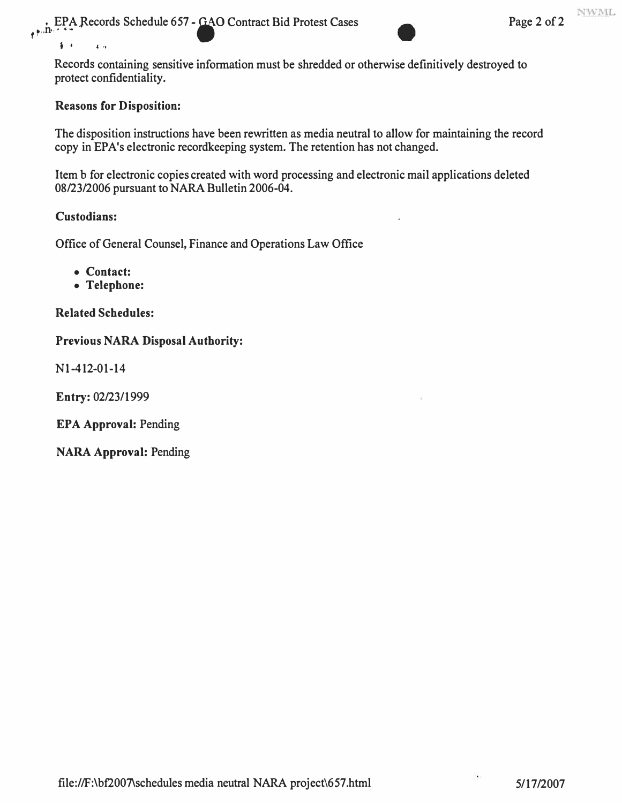

Records containing sensitive information must be shredded or otherwise definitively destroyed to protect confidentiality.

#### **Reasons for Disposition:**

The disposition instructions have been rewritten as media neutral to allow for maintaining the record copy in EPA's electronic recordkeeping system. The retention has not changed.

Item b for electronic copies created with word processing and electronic mail applications deleted 08/23/2006 pursuant to NARA Bulletin 2006-04.

#### **Custodians:**

 $i \rightarrow i \rightarrow i \rightarrow j$ 

Office of General Counsel, Finance and Operations Law Office

**• Contact:** 

**• Telephone:** 

**Related Schedules:** 

**Previous NARA Disposal Authority:** 

Nl-412-01-14

**Entry:** 02/23/1999

**EPA Approval:** Pending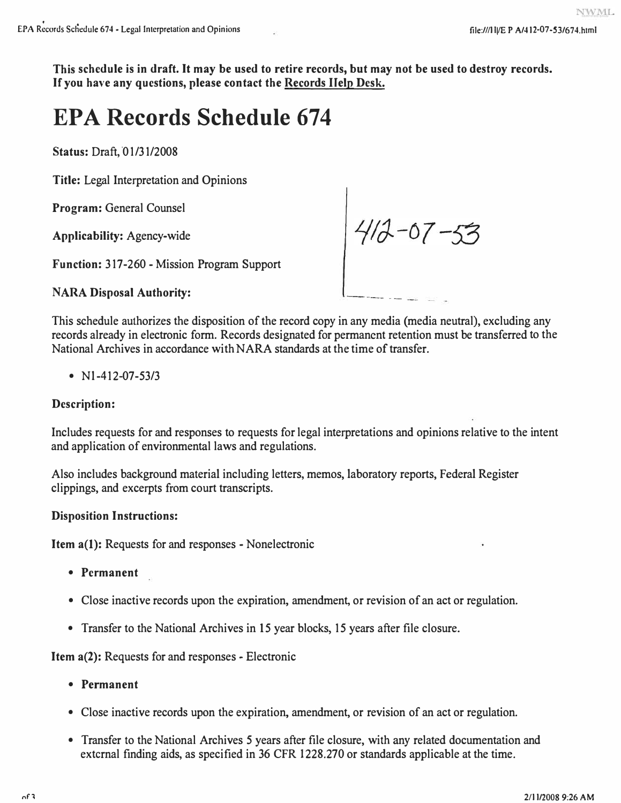**This schedule is in draft.** It **may be used to retire records, but may not be used to destroy records.**  If **you have any questions, please contact the Records Help Desk.** 

# **EPA Records Schedule 674**

**Status: Draft, 01/31/2008** 

**Title:** Legal Interpretation and Opinions

**Program:** General Counsel

**Applicability:** Agency-wide

**Function:** 317-260 - Mission Program Support

## **NARA Disposal Authority:**

This schedule authorizes the disposition of the record copy in any media (media neutral), excluding any records already in electronic form. Records designated for permanent retention must be transferred to the National Archives in accordance with NARA standards at the time of transfer.

 $412 - 07 - 53$ 

• Nl-412-07-53/3

## **Description:**

Includes requests for and responses to requests for legal interpretations and opinions relative to the intent and application of environmental laws and regulations.

Also includes background material including letters, memos, laboratory reports, Federal Register clippings, and excerpts from court transcripts.

## **Disposition Instructions:**

**Item a(l):** Requests for and responses - Nonelectronic

- **Permanent**
- Close inactive records upon the expiration, amendment, or revision of an act or regulation.
- Transfer to the National Archives in 15 year blocks, 15 years after file closure.

**Item a(2):** Requests for and responses - Electronic

- **Permanent**
- Close inactive records upon the expiration, amendment, or revision of an act or regulation.
- Transfer to the National Archives 5 years after file closure, with any related documentation and external finding aids, as specified in 36 CFR 1228.270 or standards applicable at the time.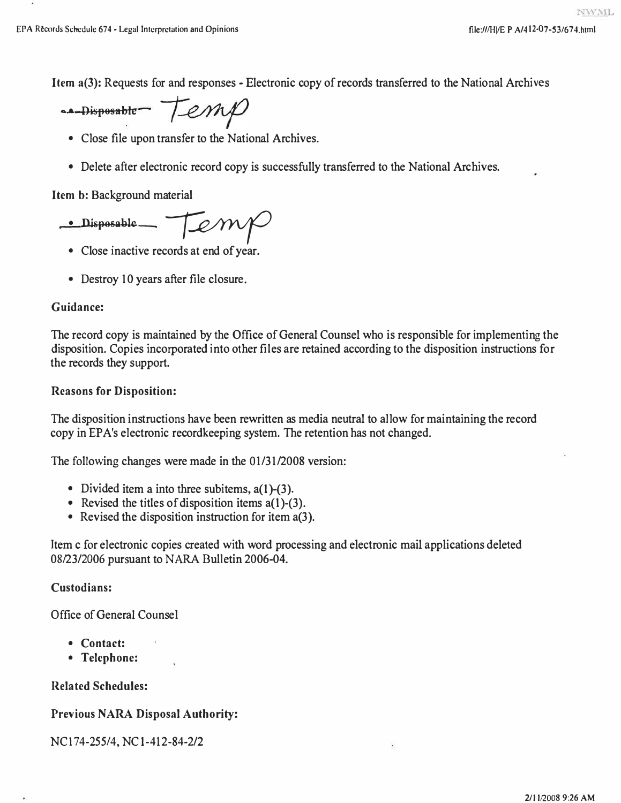**Item a(3):** Requests for and responses - Electronic copy of records transferred to the National Archives

en Disposable Temp

- Close file upon transfer to the National Archives.
- Delete after electronic record copy is successfully transferred to the National Archives.

**Item b:** Background material

 $\cdot$  Disposable  $\rightarrow$   $\sqrt{2}$ 

- Close inactive records at end of year.
- Destroy 10 years after file closure.

## **Guidance:**

The record copy is maintained by the Office of General Counsel who is responsible for implementing the disposition. Copies incorporated into other files are retained according to the disposition instructions for the records they support.

## **Reasons for Disposition:**

The disposition instructions have been rewritten as media neutral to allow for maintaining the record copy in EPA's electronic recordkeeping system. The retention has not changed.

The following changes were made in the 01/31/2008 version:

- Divided item a into three subitems,  $a(1)$ -(3).
- Revised the titles of disposition items a(1)-(3).
- Revised the disposition instruction for item a(3).

Item c for electronic copies created with word processing and electronic mail applications deleted 08/23/2006 pursuant to NARA Bulletin 2006-04.

## **Custodians:**

Office of General Counsel

- **Contact:**
- **Telephone:**

## **Related Schedules:**

## **Previous NARA Disposal Authority:**

NCI 74-255/4, NC 1-412-84-2/2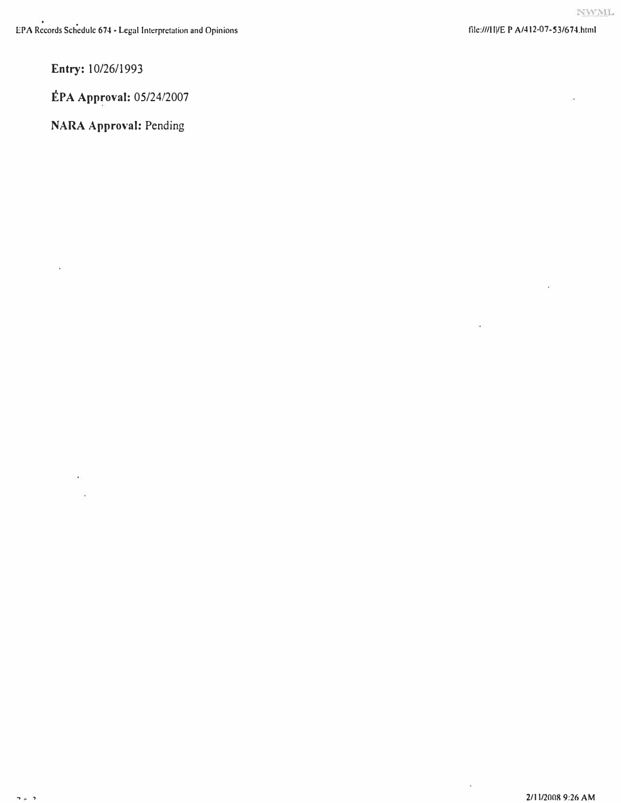**Entry: 10/26/1993** 

**EPA Approval: 05/24/2007** 

**NARA Approval: Pending** 

 $\epsilon$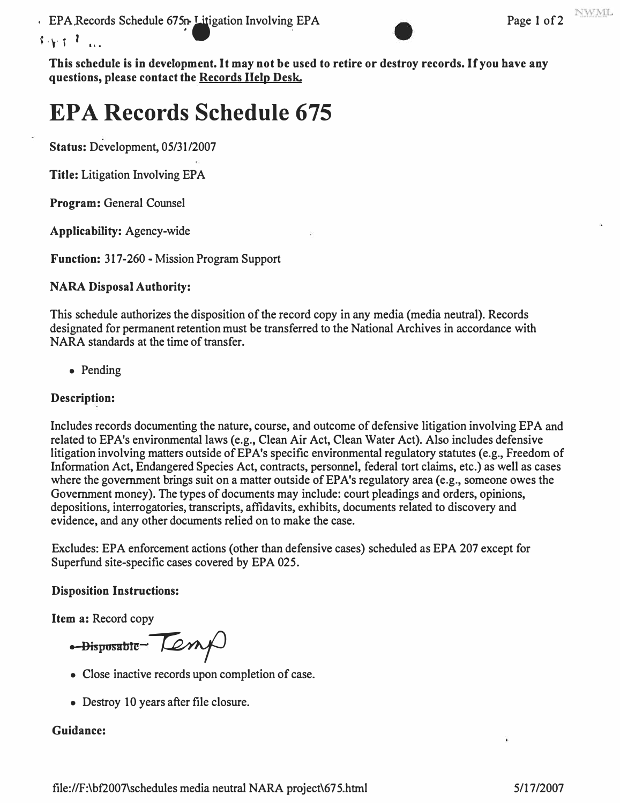**.** EPA Records Schedule 675n- Litigation Involving EPA Page 1 of 2



**This schedule is in development. It may not be used to retire or destroy records. If you have any questions, please contact the Records Help Desk.** 

# **EPA Records Schedule 675**

**Status: Development, 05/31/2007** 

**Title: Litigation Involving EPA** 

**Program: General Counsel** 

**Applicability: Agency-wide** 

**Function: 317-260 - Mission Program Support** 

## **NARA Disposal Authority:**

**This schedule authorizes the disposition of the record copy in any media (media neutral). Records designated for permanent retention must be transferred to the National Archives in accordance with NARA standards at the time of transfer.** 

**• Pending**

## **Description:**

**Includes records documenting the nature, course, and outcome of defensive litigation involving EPA and related to EPA's environmental laws (e.g., Clean Air Act, Clean Water Act). Also includes defensive**  litigation involving matters outside of EPA's specific environmental regulatory statutes (e.g., Freedom of **Information Act, Endangered Species Act, contracts, personnel, federal tort claims, etc.) as well as cases**  where the government brings suit on a matter outside of EPA's regulatory area (e.g., someone owes the **Government money). The types of documents may include: court pleadings and orders, opinions, depositions, interrogatories, transcripts, affidavits, exhibits, documents related to discovery and evidence, and any other documents relied on to make the case.** 

**Excludes: EPA enforcement actions (other than defensive cases) scheduled as EPA 207 except for Superfund site-specific cases covered by EPA 025.** 

## **Disposition Instructions:**

**Item a: Record copy** 

<del>-Disposable Lem</del>

- **Close inactive records upon completion of case.**
- **Destroy IO years after file closure.**

## **Guidance:**

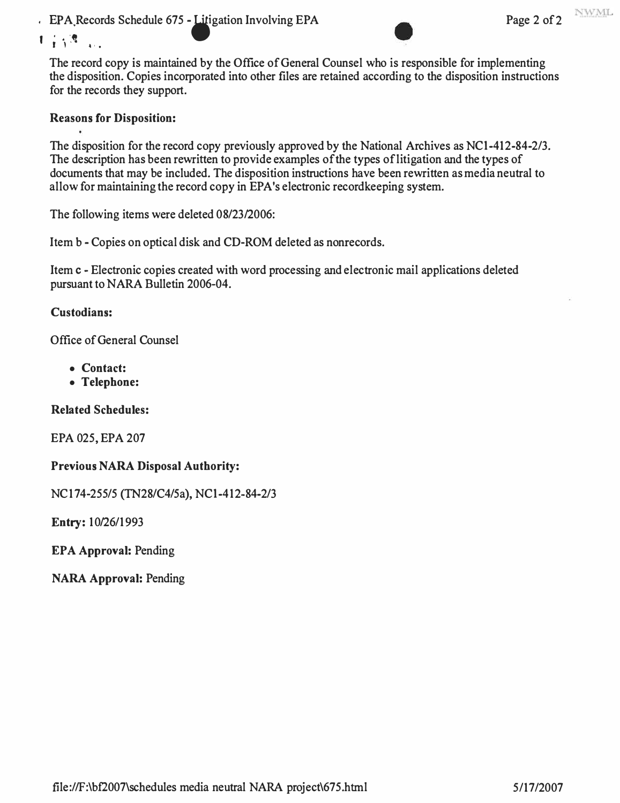. EPA Records Schedule 675 - Litigation Involving EPA Page 2 of 2



 $1 + \sqrt{2}$ 

The record copy is maintained by the Office of General Counsel who is responsible for implementing the disposition. Copies incorporated into other files are retained according to the disposition instructions for the records they support.

## **Reasons for Disposition:**

The disposition for the record copy previously approved by the National Archives as NCl-412-84-2/3. The description has been rewritten to provide examples of the types of litigation and the types of documents that may be included. The disposition instructions have been rewritten as media neutral to allow for maintaining the record copy in EPA's electronic recordkeeping system.

The following items were deleted 08/23/2006:

Item b - Copies on optical disk and CD-ROM deleted as nonrecords.

Item c - Electronic copies created with word processing and electronic mail applications deleted pursuant to NARA Bulletin 2006-04.

#### **Custodians:**

Office of General Counsel

- **Contact:**
- **Telephone:**

#### **Related Schedules:**

EPA 025, EPA 207

#### **Previous NARA Disposal Authority:**

NC174-255/5 (TN28/C4/5a), NCl-412-84-2/3

Entry: 10/26/1993

**EPA Approval:** Pending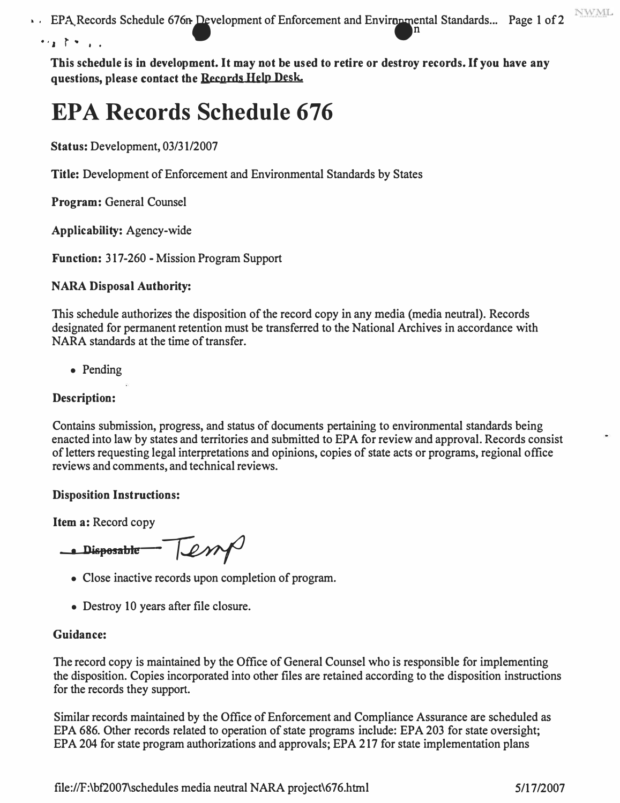**NWML** FPA, Records Schedule 676n-Development of Enforcement and Enviropmental Standards... Page 1 of 2 **•. ' r • • .** .n

**This schedule is in development. It may not be used to retire or destroy records. If you have any questions, please contact the Records Help Desk.** 

# **EPA Records Schedule 676**

**Status:** Development, 03/31/2007

**Title:** Development of Enforcement and Environmental Standards by States

**Program:** General Counsel

**Applicability:** Agency-wide

**Function: 317-260 - Mission Program Support** 

## **NARA Disposal Authority:**

This schedule authorizes the disposition of the record copy in any media (media neutral). Records designated for permanent retention must be transferred to the National Archives in accordance with NARA standards at the time of transfer.

• Pending

#### **Description:**

Contains submission, progress, and status of documents pertaining to environmental standards being enacted into law by states and territories and submitted to EPA for review and approval. Records consist of letters requesting legal interpretations and opinions, copies of state acts or programs, regional office reviews and comments, and technical reviews.

#### **Disposition Instructions:**

**Item a:** Record copy

 $\frac{1}{\sqrt{2\pi}}$ 

- Close inactive records upon completion of program.
- Destroy 10 years after file closure.

#### **Guidance:**

The record copy is maintained by the Office of General Counsel who is responsible for implementing the disposition. Copies incorporated into other files are retained according to the disposition instructions for the records they support.

Similar records maintained by the Office of Enforcement and Compliance Assurance are scheduled as EPA 686. Other records related to operation of state programs include: EPA 203 for state oversight; EPA 204 for state program authorizations and approvals; EPA 217 for state implementation plans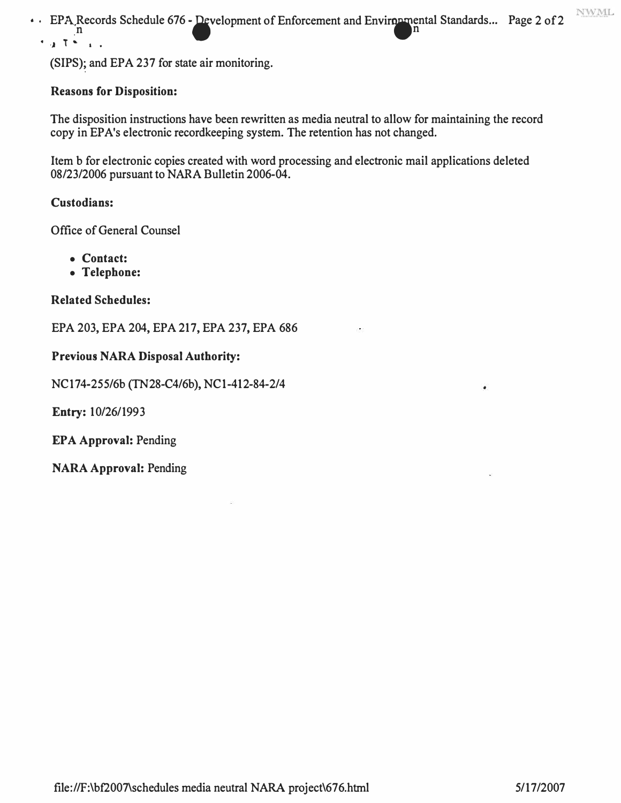NWML • · EPA Records Schedule 676 - Development of Enforcement and Enviropmental Standards... Page 2 of 2 • ,J T ... ' •

(SIPS); and EPA 237 for state air monitoring.

#### **Reasons for Disposition:**

**The disposition instructions have been rewritten as media neutral to allow for maintaining the record copy in EP A's electronic recordkeeping system. The retention has not changed.** 

**Item b for electronic copies created with word processing and electronic mail applications deleted 08/23/2006 pursuant to NARA Bulletin 2006-04.** 

#### **Custodians:**

**Office of General Counsel** 

- **Contact:**
- **Telephone:**

#### **Related Schedules:**

**EPA 203, EPA 204, EPA 217, EPA 237, EPA 686** 

#### **Previous NARA Disposal Authority:**

**NCI 74-255/6b (TN28-C4/6b), NCl-412-84-2/4** 

**Entry: 10/26/1993** 

**EPA Approval: Pending**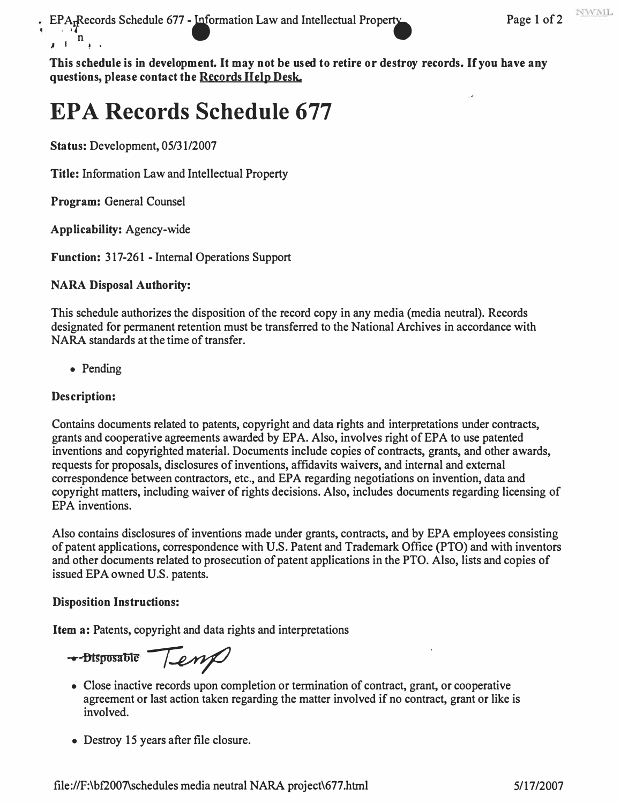EPARecords Schedule 677 - Information Law and Intellectual Property Page 1 of 2  $\mathbf{h}$ *J* **I I •** 

**This schedule is in development. It may not be used to retire or destroy records. If you have any questions, please contact the Records Help Desk.** 

# **EPA Records Schedule 677**

**Status:** Development, 05/31/2007

**Title:** Information Law and Intellectual Property

**Program:** General Counsel

**Applicability:** Agency-wide

**Function:** 317-261 - Internal Operations Support

## **NARA Disposal Authority:**

This schedule authorizes the disposition of the record copy in any media (media neutral). Records designated for permanent retention must be transferred to the National Archives in accordance with NARA standards at the time of transfer.

• Pending

## **Description:**

Contains documents related to patents, copyright and data rights and interpretations under contracts, grants and cooperative agreements awarded by EPA. Also, involves right of EPA to use patented inventions and copyrighted material. Documents include copies of contracts, grants, and other awards, requests for proposals, disclosures of inventions, affidavits waivers, and internal and external correspondence between contractors, etc., and EPA regarding negotiations on invention, data and copyright matters, including waiver of rights decisions. Also, includes documents regarding licensing of EPA inventions.

Also contains disclosures of inventions made under grants, contracts, and by EPA employees consisting of patent applications, correspondence with U.S. Patent and Trademark Office (PTO) and with inventors and other documents related to prosecution of patent applications in the PTO. Also, lists and copies of issued EPA owned U.S. patents.

#### **Disposition Instructions:**

**Item a:** Patents, copyright and data rights and interpretations

� .... **Dlsposatile** /

- Close inactive records upon completion or termination of contract, grant, or cooperative agreement or last action taken regarding the matter involved if no contract, grant or like is involved.
- Destroy 15 years after file closure.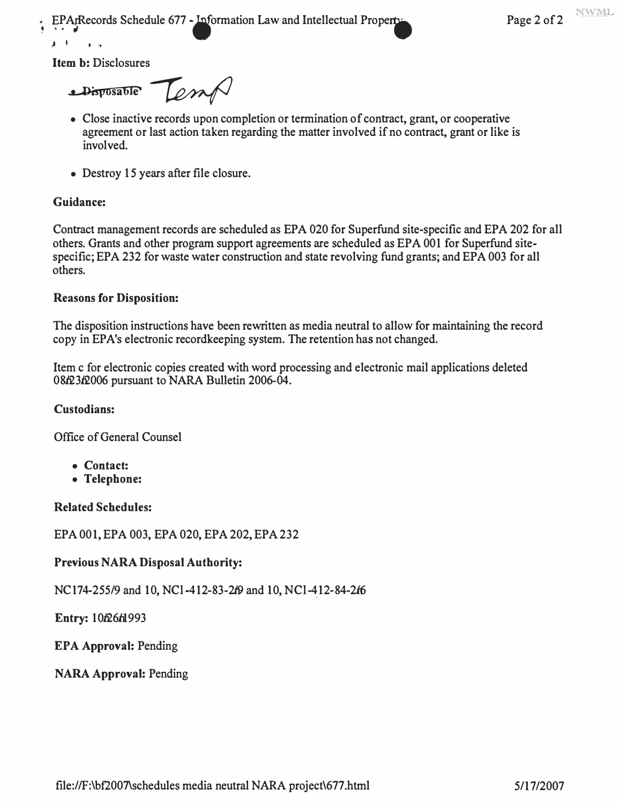**EPARecords Schedule 677 - Information Law and Intellectual Property Page 2 of 2** 

**Item b:** Disclosures

 $\mathbf{1}$   $\mathbf{1}$   $\mathbf{1}$   $\mathbf{1}$   $\mathbf{1}$ 

 $\triangle$ *Disposable*  $\overline{\phantom{a}}$ 

- Close inactive records upon completion or termination of contract, grant, or cooperative agreement or last action taken regarding the matter involved if no contract, grant or like is involved.
- Destroy 15 years after file closure.

#### **Guidance:**

Contract management records are scheduled as EPA 020 for Superfund site-specific and EPA 202 for all others. Grants and other program support agreements are scheduled as EPA 001 for Superfund sitespecific; EPA 232 for waste water construction and state revolving fund grants; and EPA 003 for all others.

#### **Reasons for Disposition:**

The disposition instructions have been rewritten as media neutral to allow for maintaining the record copy in EPA's electronic recordkeeping system. The retention has not changed.

Item c for electronic copies created with word processing and electronic mail applications deleted 08f23f2006 pursuant to NARA Bulletin 2006-04.

#### **Custodians:**

Office of General Counsel

- **Contact:**
- **Telephone:**

**Related Schedules:** 

EPA 001, EPA 003, EPA 020, EPA 202, EPA 232

#### **Previous NARA Disposal Authority:**

NC174-255/9 and 10, NCl-412-83-2f9 and 10, NCl-412-84-2f6

**Entry: 10***f***26***f***1993** 

**EPA Approval:** Pending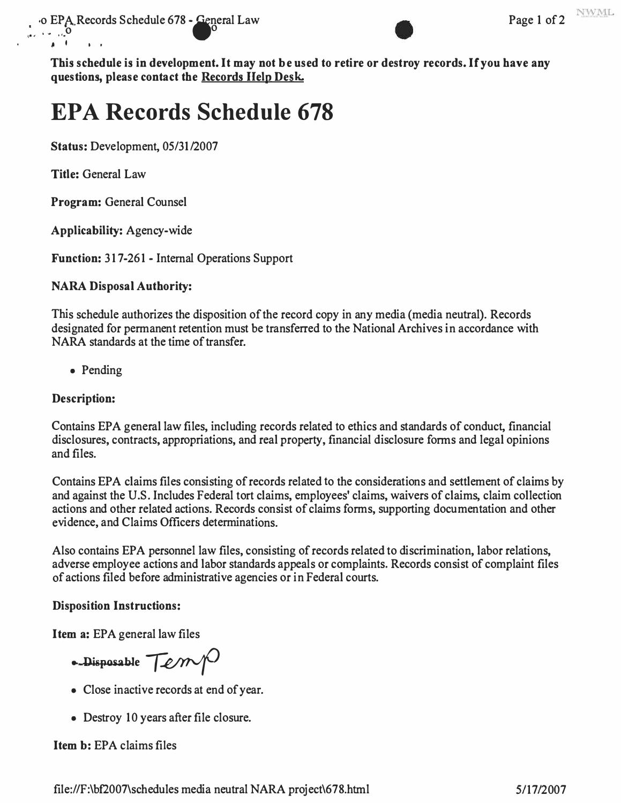

**This schedule is in development. It may not be used to retire or destroy records. If you have any questions, please contact the Records Help Desk.** 

## **EPA Records Schedule 678**

**Status: Development, 05/31/2007** 

**Title: General Law** 

� I I '

**Program: General Counsel** 

**Applicability: Agency-wide** 

**Function: 317-26 1 - Internal Operations Support** 

## **NARA Disposal Authority:**

This schedule authorizes the disposition of the record copy in any media (media neutral). Records designated for permanent retention must be transferred to the National Archives in accordance with **NARA standards at the time of transfer.** 

**• Pending** 

## **Description:**

Contains EPA general law files, including records related to ethics and standards of conduct, financial disclosures, contracts, appropriations, and real property, financial disclosure forms and legal opinions **and files.** 

Contains EPA claims files consisting of records related to the considerations and settlement of claims by and against the U.S. Includes Federal tort claims, employees' claims, waivers of claims, claim collection actions and other related actions. Records consist of claims forms, supporting documentation and other **<sup>e</sup>vidence, and Claims Officers determinations.** 

Also contains EPA personnel law files, consisting of records related to discrimination, labor relations, adverse employee actions and labor standards appeals or complaints. Records consist of complaint files of actions filed before administrative agencies or in Federal courts.

## **Disposition Instructions:**

**Item a: EPA general law files** 

• Disposable Temp

- **Close inactive records at end of year.**
- **Destroy 10 years after file closure.**

## **Item b: EPA claims files**